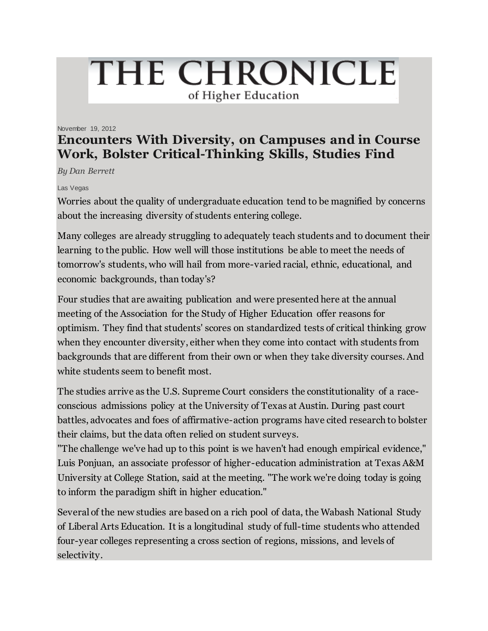# THE CHRONICLE of Higher Education

#### November 19, 2012

# **Encounters With Diversity, on Campuses and in Course Work, Bolster Critical-Thinking Skills, Studies Find**

*By Dan Berrett*

#### Las Vegas

Worries about the quality of undergraduate education tend to be magnified by concerns about the increasing diversity of students entering college.

Many colleges are already struggling to adequately teach students and to document their learning to the public. How well will those institutions be able to meet the needs of tomorrow's students, who will hail from more-varied racial, ethnic, educational, and economic backgrounds, than today's?

Four studies that are awaiting publication and were presented here at the annual meeting of the Association for the Study of Higher Education offer reasons for optimism. They find that students' scores on standardized tests of critical thinking grow when they encounter diversity, either when they come into contact with students from backgrounds that are different from their own or when they take diversity courses. And white students seem to benefit most.

The studies arrive as the U.S. Supreme Court considers the constitutionality of a raceconscious admissions policy at the University of Texas at Austin. During past court battles, advocates and foes of affirmative-action programs have cited research to bolster their claims, but the data often relied on student surveys.

"The challenge we've had up to this point is we haven't had enough empirical evidence," Luis Ponjuan, an associate professor of higher-education administration at Texas A&M University at College Station, said at the meeting. "The work we're doing today is going to inform the paradigm shift in higher education."

Several of the new studies are based on a rich pool of data, the Wabash National Study of Liberal Arts Education. It is a longitudinal study of full-time students who attended four-year colleges representing a cross section of regions, missions, and levels of selectivity.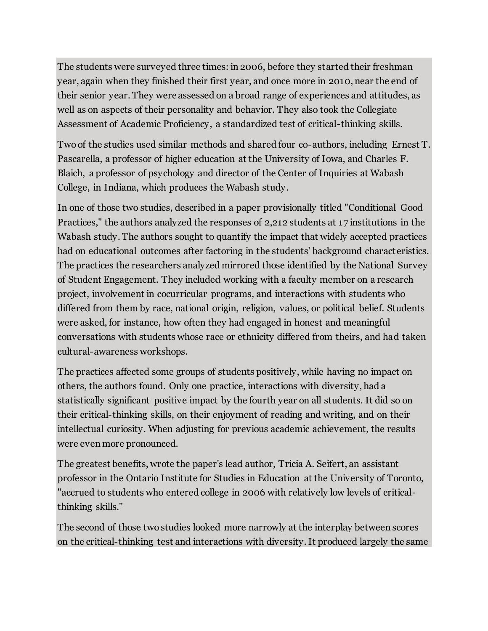The students were surveyed three times: in 2006, before they started their freshman year, again when they finished their first year, and once more in 2010, near the end of their senior year. They were assessed on a broad range of experiences and attitudes, as well as on aspects of their personality and behavior. They also took the Collegiate Assessment of Academic Proficiency, a standardized test of critical-thinking skills.

Two of the studies used similar methods and shared four co-authors, including Ernest T. Pascarella, a professor of higher education at the University of Iowa, and Charles F. Blaich, a professor of psychology and director of the Center of Inquiries at Wabash College, in Indiana, which produces the Wabash study.

In one of those two studies, described in a paper provisionally titled "Conditional Good Practices," the authors analyzed the responses of 2,212 students at 17 institutions in the Wabash study. The authors sought to quantify the impact that widely accepted practices had on educational outcomes after factoring in the students' background characteristics. The practices the researchers analyzed mirrored those identified by the National Survey of Student Engagement. They included working with a faculty member on a research project, involvement in cocurricular programs, and interactions with students who differed from them by race, national origin, religion, values, or political belief. Students were asked, for instance, how often they had engaged in honest and meaningful conversations with students whose race or ethnicity differed from theirs, and had taken cultural-awareness workshops.

The practices affected some groups of students positively, while having no impact on others, the authors found. Only one practice, interactions with diversity, had a statistically significant positive impact by the fourth year on all students. It did so on their critical-thinking skills, on their enjoyment of reading and writing, and on their intellectual curiosity. When adjusting for previous academic achievement, the results were even more pronounced.

The greatest benefits, wrote the paper's lead author, Tricia A. Seifert, an assistant professor in the Ontario Institute for Studies in Education at the University of Toronto, "accrued to students who entered college in 2006 with relatively low levels of criticalthinking skills."

The second of those two studies looked more narrowly at the interplay between scores on the critical-thinking test and interactions with diversity. It produced largely the same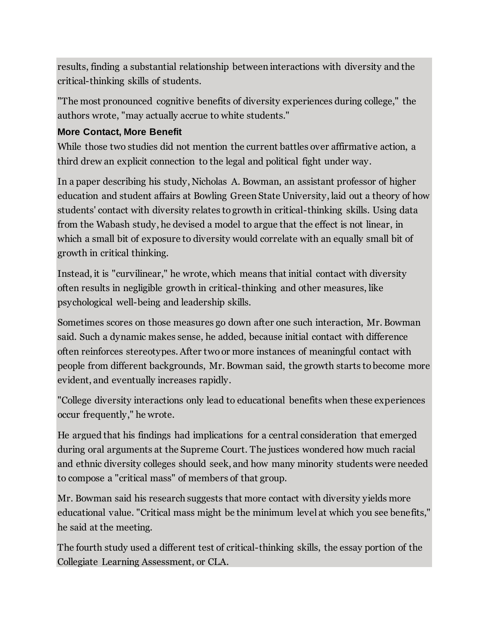results, finding a substantial relationship between interactions with diversity and the critical-thinking skills of students.

"The most pronounced cognitive benefits of diversity experiences during college," the authors wrote, "may actually accrue to white students."

## **More Contact, More Benefit**

While those two studies did not mention the current battles over affirmative action, a third drew an explicit connection to the legal and political fight under way.

In a paper describing his study, Nicholas A. Bowman, an assistant professor of higher education and student affairs at Bowling Green State University, laid out a theory of how students' contact with diversity relates to growth in critical-thinking skills. Using data from the Wabash study, he devised a model to argue that the effect is not linear, in which a small bit of exposure to diversity would correlate with an equally small bit of growth in critical thinking.

Instead, it is "curvilinear," he wrote, which means that initial contact with diversity often results in negligible growth in critical-thinking and other measures, like psychological well-being and leadership skills.

Sometimes scores on those measures go down after one such interaction, Mr. Bowman said. Such a dynamic makes sense, he added, because initial contact with difference often reinforces stereotypes. After two or more instances of meaningful contact with people from different backgrounds, Mr. Bowman said, the growth starts to become more evident, and eventually increases rapidly.

"College diversity interactions only lead to educational benefits when these experiences occur frequently," he wrote.

He argued that his findings had implications for a central consideration that emerged during oral arguments at the Supreme Court. The justices wondered how much racial and ethnic diversity colleges should seek, and how many minority students were needed to compose a "critical mass" of members of that group.

Mr. Bowman said his research suggests that more contact with diversity yields more educational value. "Critical mass might be the minimum level at which you see benefits," he said at the meeting.

The fourth study used a different test of critical-thinking skills, the essay portion of the Collegiate Learning Assessment, or CLA.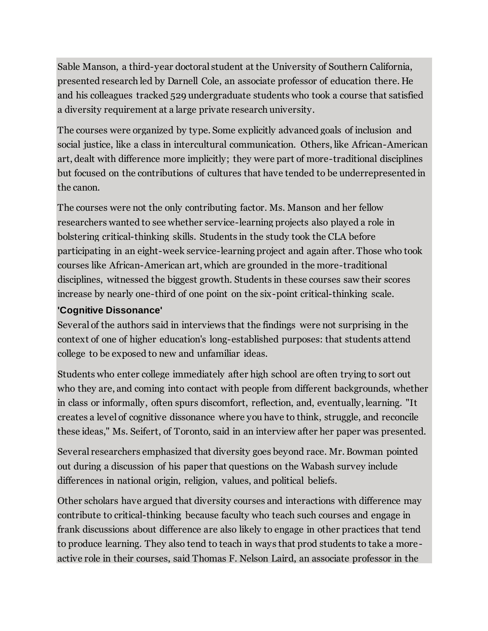Sable Manson, a third-year doctoral student at the University of Southern California, presented research led by Darnell Cole, an associate professor of education there. He and his colleagues tracked 529 undergraduate students who took a course that satisfied a diversity requirement at a large private research university.

The courses were organized by type. Some explicitly advanced goals of inclusion and social justice, like a class in intercultural communication. Others, like African-American art, dealt with difference more implicitly; they were part of more-traditional disciplines but focused on the contributions of cultures that have tended to be underrepresented in the canon.

The courses were not the only contributing factor. Ms. Manson and her fellow researchers wanted to see whether service-learning projects also played a role in bolstering critical-thinking skills. Students in the study took the CLA before participating in an eight-week service-learning project and again after. Those who took courses like African-American art, which are grounded in the more-traditional disciplines, witnessed the biggest growth. Students in these courses saw their scores increase by nearly one-third of one point on the six-point critical-thinking scale.

### **'Cognitive Dissonance'**

Several of the authors said in interviews that the findings were not surprising in the context of one of higher education's long-established purposes: that students attend college to be exposed to new and unfamiliar ideas.

Students who enter college immediately after high school are often trying to sort out who they are, and coming into contact with people from different backgrounds, whether in class or informally, often spurs discomfort, reflection, and, eventually, learning. "It creates a level of cognitive dissonance where you have to think, struggle, and reconcile these ideas," Ms. Seifert, of Toronto, said in an interview after her paper was presented.

Several researchers emphasized that diversity goes beyond race. Mr. Bowman pointed out during a discussion of his paper that questions on the Wabash survey include differences in national origin, religion, values, and political beliefs.

Other scholars have argued that diversity courses and interactions with difference may contribute to critical-thinking because faculty who teach such courses and engage in frank discussions about difference are also likely to engage in other practices that tend to produce learning. They also tend to teach in ways that prod students to take a moreactive role in their courses, said Thomas F. Nelson Laird, an associate professor in the